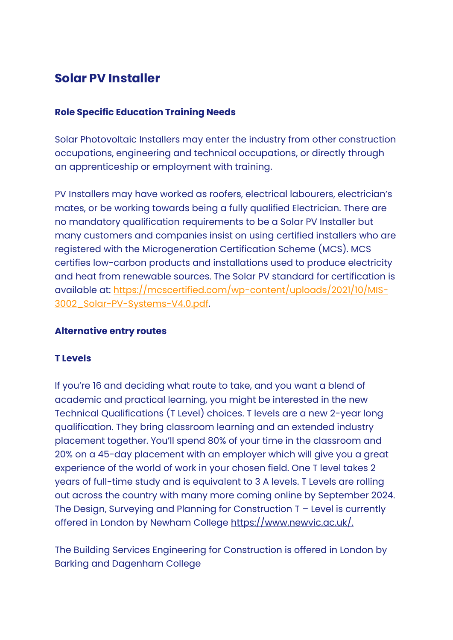# **Solar PV Installer**

#### **Role Specific Education Training Needs**

Solar Photovoltaic Installers may enter the industry from other construction occupations, engineering and technical occupations, or directly through an apprenticeship or employment with training.

PV Installers may have worked as roofers, electrical labourers, electrician's mates, or be working towards being a fully qualified Electrician. There are no mandatory qualification requirements to be a Solar PV Installer but many customers and companies insist on using certified installers who are registered with the Microgeneration Certification Scheme (MCS). MCS certifies low-carbon products and installations used to produce electricity and heat from renewable sources. The Solar PV standard for certification is available at: [https://mcscertified.com/wp-content/uploads/2021/10/MIS-](https://mcscertified.com/wp-content/uploads/2021/10/MIS-3002_Solar-PV-Systems-V4.0.pdf)[3002\\_Solar-PV-Systems-V4.0.pdf.](https://mcscertified.com/wp-content/uploads/2021/10/MIS-3002_Solar-PV-Systems-V4.0.pdf)

#### **Alternative entry routes**

#### **T Levels**

If you're 16 and deciding what route to take, and you want a blend of academic and practical learning, you might be interested in the new Technical Qualifications (T Level) choices. T levels are a new 2-year long qualification. They bring classroom learning and an extended industry placement together. You'll spend 80% of your time in the classroom and 20% on a 45-day placement with an employer which will give you a great experience of the world of work in your chosen field. One T level takes 2 years of full-time study and is equivalent to 3 A levels. T Levels are rolling out across the country with many more coming online by September 2024. The Design, Surveying and Planning for Construction T – Level is currently offered in London by Newham College [https://www.newvic.ac.uk/.](https://www.newvic.ac.uk/)

The Building Services Engineering for Construction is offered in London by Barking and Dagenham College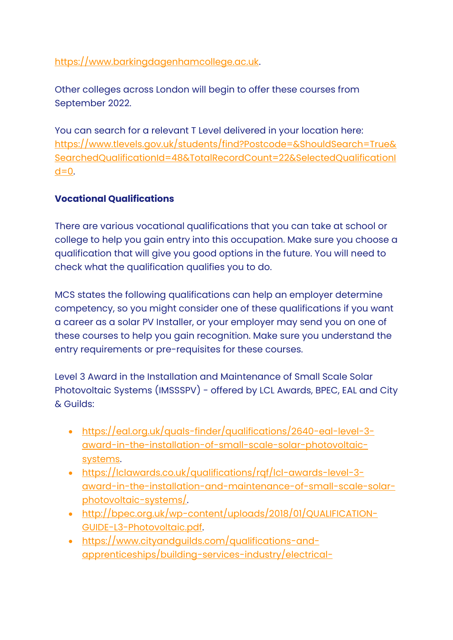[https://www.barkingdagenhamcollege.ac.uk.](https://www.barkingdagenhamcollege.ac.uk/)

Other colleges across London will begin to offer these courses from September 2022.

You can search for a relevant T Level delivered in your location here: [https://www.tlevels.gov.uk/students/find?Postcode=&ShouldSearch=True&](https://www.tlevels.gov.uk/students/find?Postcode=&ShouldSearch=True&SearchedQualificationId=48&TotalRecordCount=22&SelectedQualificationId=0) [SearchedQualificationId=48&TotalRecordCount=22&SelectedQualificationI](https://www.tlevels.gov.uk/students/find?Postcode=&ShouldSearch=True&SearchedQualificationId=48&TotalRecordCount=22&SelectedQualificationId=0)  $d=0$ .

# **Vocational Qualifications**

There are various vocational qualifications that you can take at school or college to help you gain entry into this occupation. Make sure you choose a qualification that will give you good options in the future. You will need to check what the qualification qualifies you to do.

MCS states the following qualifications can help an employer determine competency, so you might consider one of these qualifications if you want a career as a solar PV Installer, or your employer may send you on one of these courses to help you gain recognition. Make sure you understand the entry requirements or pre-requisites for these courses.

Level 3 Award in the Installation and Maintenance of Small Scale Solar Photovoltaic Systems (IMSSSPV) - offered by LCL Awards, BPEC, EAL and City & Guilds:

- [https://eal.org.uk/quals-finder/qualifications/2640-eal-level-3](https://eal.org.uk/quals-finder/qualifications/2640-eal-level-3-award-in-the-installation-of-small-scale-solar-photovoltaic-systems) [award-in-the-installation-of-small-scale-solar-photovoltaic](https://eal.org.uk/quals-finder/qualifications/2640-eal-level-3-award-in-the-installation-of-small-scale-solar-photovoltaic-systems)[systems.](https://eal.org.uk/quals-finder/qualifications/2640-eal-level-3-award-in-the-installation-of-small-scale-solar-photovoltaic-systems)
- [https://lclawards.co.uk/qualifications/rqf/lcl-awards-level-3](https://lclawards.co.uk/qualifications/rqf/lcl-awards-level-3-award-in-the-installation-and-maintenance-of-small-scale-solar-photovoltaic-systems/) [award-in-the-installation-and-maintenance-of-small-scale-solar](https://lclawards.co.uk/qualifications/rqf/lcl-awards-level-3-award-in-the-installation-and-maintenance-of-small-scale-solar-photovoltaic-systems/)[photovoltaic-systems/.](https://lclawards.co.uk/qualifications/rqf/lcl-awards-level-3-award-in-the-installation-and-maintenance-of-small-scale-solar-photovoltaic-systems/)
- [http://bpec.org.uk/wp-content/uploads/2018/01/QUALIFICATION-](http://bpec.org.uk/wp-content/uploads/2018/01/QUALIFICATION-GUIDE-L3-Photovoltaic.pdf)[GUIDE-L3-Photovoltaic.pdf.](http://bpec.org.uk/wp-content/uploads/2018/01/QUALIFICATION-GUIDE-L3-Photovoltaic.pdf)
- [https://www.cityandguilds.com/qualifications-and](https://www.cityandguilds.com/qualifications-and-apprenticeships/building-services-industry/electrical-installation/2399-installation-service-and-maintenance-of-environmental-technology-systems#tab=information)[apprenticeships/building-services-industry/electrical-](https://www.cityandguilds.com/qualifications-and-apprenticeships/building-services-industry/electrical-installation/2399-installation-service-and-maintenance-of-environmental-technology-systems#tab=information)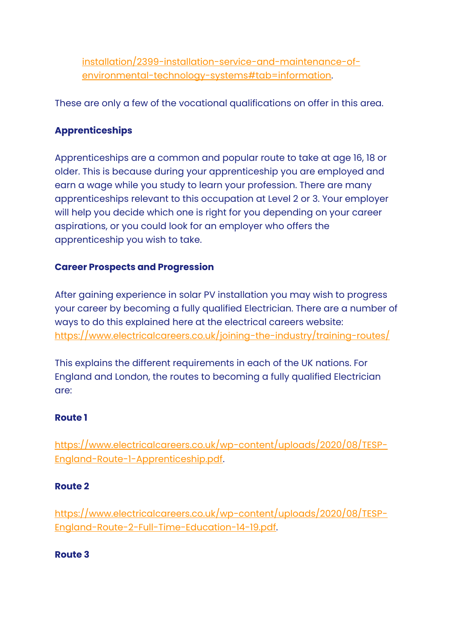[installation/2399-installation-service-and-maintenance-of](https://www.cityandguilds.com/qualifications-and-apprenticeships/building-services-industry/electrical-installation/2399-installation-service-and-maintenance-of-environmental-technology-systems#tab=information)[environmental-technology-systems#tab=information.](https://www.cityandguilds.com/qualifications-and-apprenticeships/building-services-industry/electrical-installation/2399-installation-service-and-maintenance-of-environmental-technology-systems#tab=information)

These are only a few of the vocational qualifications on offer in this area.

# **Apprenticeships**

Apprenticeships are a common and popular route to take at age 16, 18 or older. This is because during your apprenticeship you are employed and earn a wage while you study to learn your profession. There are many apprenticeships relevant to this occupation at Level 2 or 3. Your employer will help you decide which one is right for you depending on your career aspirations, or you could look for an employer who offers the apprenticeship you wish to take.

## **Career Prospects and Progression**

After gaining experience in solar PV installation you may wish to progress your career by becoming a fully qualified Electrician. There are a number of ways to do this explained here at the electrical careers website: <https://www.electricalcareers.co.uk/joining-the-industry/training-routes/>

This explains the different requirements in each of the UK nations. For England and London, the routes to becoming a fully qualified Electrician are:

#### **Route 1**

[https://www.electricalcareers.co.uk/wp-content/uploads/2020/08/TESP-](https://www.electricalcareers.co.uk/wp-content/uploads/2020/08/TESP-England-Route-1-Apprenticeship.pdf)[England-Route-1-Apprenticeship.pdf.](https://www.electricalcareers.co.uk/wp-content/uploads/2020/08/TESP-England-Route-1-Apprenticeship.pdf)

#### **Route 2**

[https://www.electricalcareers.co.uk/wp-content/uploads/2020/08/TESP-](https://www.electricalcareers.co.uk/wp-content/uploads/2020/08/TESP-England-Route-2-Full-Time-Education-14-19.pdf)[England-Route-2-Full-Time-Education-14-19.pdf.](https://www.electricalcareers.co.uk/wp-content/uploads/2020/08/TESP-England-Route-2-Full-Time-Education-14-19.pdf)

## **Route 3**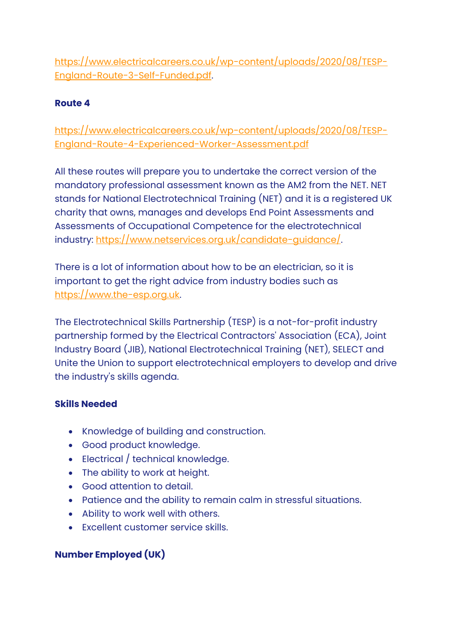[https://www.electricalcareers.co.uk/wp-content/uploads/2020/08/TESP-](https://www.electricalcareers.co.uk/wp-content/uploads/2020/08/TESP-England-Route-3-Self-Funded.pdf)[England-Route-3-Self-Funded.pdf.](https://www.electricalcareers.co.uk/wp-content/uploads/2020/08/TESP-England-Route-3-Self-Funded.pdf)

# **Route 4**

[https://www.electricalcareers.co.uk/wp-content/uploads/2020/08/TESP-](https://www.electricalcareers.co.uk/wp-content/uploads/2020/08/TESP-England-Route-4-Experienced-Worker-Assessment.pdf)[England-Route-4-Experienced-Worker-Assessment.pdf](https://www.electricalcareers.co.uk/wp-content/uploads/2020/08/TESP-England-Route-4-Experienced-Worker-Assessment.pdf)

All these routes will prepare you to undertake the correct version of the mandatory professional assessment known as the AM2 from the NET. NET stands for National Electrotechnical Training (NET) and it is a registered UK charity that owns, manages and develops End Point Assessments and Assessments of Occupational Competence for the electrotechnical industry: [https://www.netservices.org.uk/candidate-guidance/.](https://www.netservices.org.uk/candidate-guidance/)

There is a lot of information about how to be an electrician, so it is important to get the right advice from industry bodies such as [https://www.the-esp.org.uk.](https://www.the-esp.org.uk/)

The Electrotechnical Skills Partnership (TESP) is a not-for-profit industry partnership formed by the Electrical Contractors' Association (ECA), Joint Industry Board (JIB), National Electrotechnical Training (NET), SELECT and Unite the Union to support electrotechnical employers to develop and drive the industry's skills agenda.

## **Skills Needed**

- Knowledge of building and construction.
- Good product knowledge.
- Electrical / technical knowledge.
- The ability to work at height.
- Good attention to detail.
- Patience and the ability to remain calm in stressful situations.
- Ability to work well with others.
- Excellent customer service skills.

# **Number Employed (UK)**